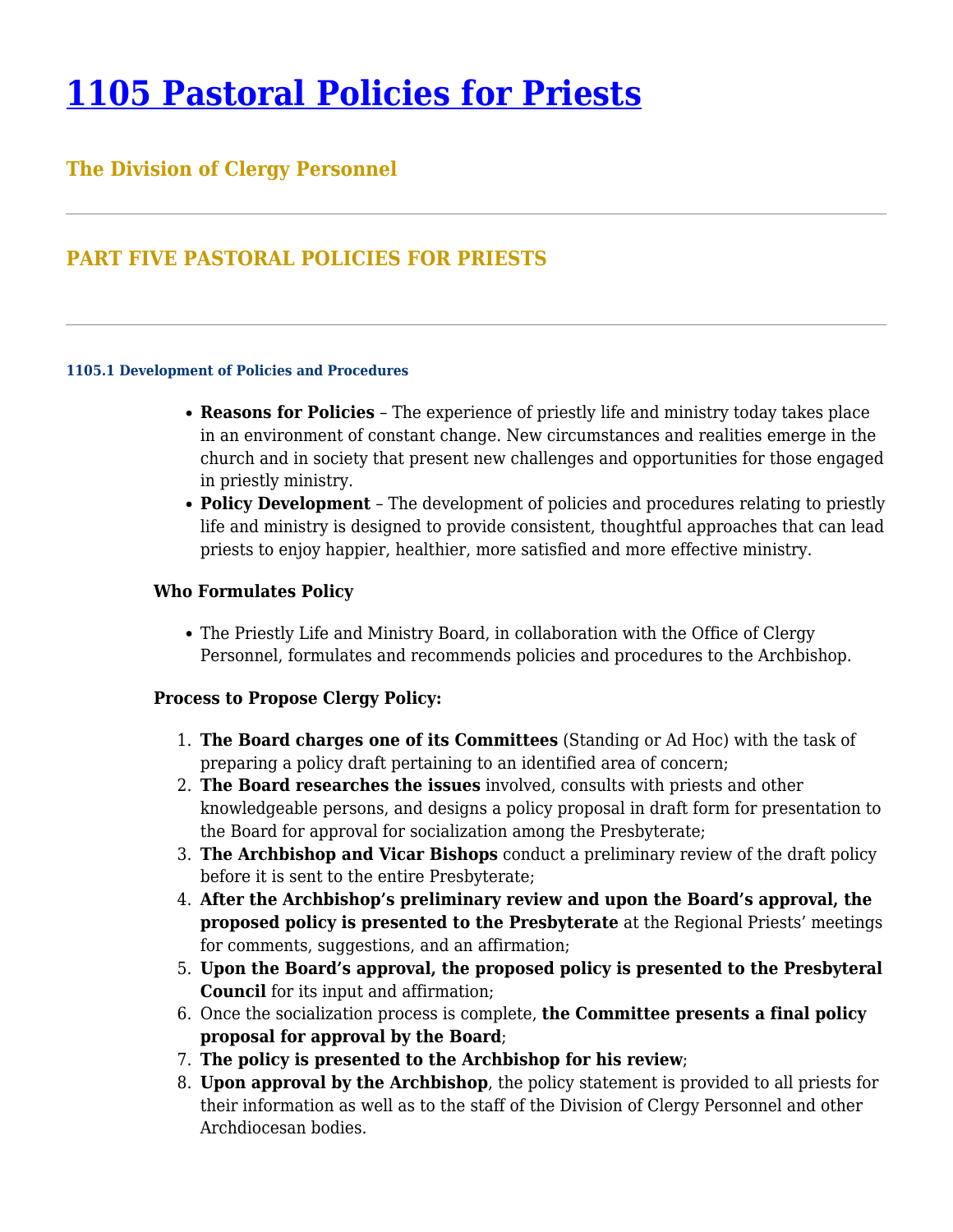# **[1105 Pastoral Policies for Priests](https://www.policy.archbalt.org/human-resources/1105-pastoral-policies-for-priests/)**

## **The Division of Clergy Personnel**

# **PART FIVE PASTORAL POLICIES FOR PRIESTS**

#### **1105.1 Development of Policies and Procedures**

- **Reasons for Policies** The experience of priestly life and ministry today takes place in an environment of constant change. New circumstances and realities emerge in the church and in society that present new challenges and opportunities for those engaged in priestly ministry.
- **Policy Development** The development of policies and procedures relating to priestly life and ministry is designed to provide consistent, thoughtful approaches that can lead priests to enjoy happier, healthier, more satisfied and more effective ministry.

### **Who Formulates Policy**

The Priestly Life and Ministry Board, in collaboration with the Office of Clergy Personnel, formulates and recommends policies and procedures to the Archbishop.

### **Process to Propose Clergy Policy:**

- 1. **The Board charges one of its Committees** (Standing or Ad Hoc) with the task of preparing a policy draft pertaining to an identified area of concern;
- 2. **The Board researches the issues** involved, consults with priests and other knowledgeable persons, and designs a policy proposal in draft form for presentation to the Board for approval for socialization among the Presbyterate;
- 3. **The Archbishop and Vicar Bishops** conduct a preliminary review of the draft policy before it is sent to the entire Presbyterate;
- 4. **After the Archbishop's preliminary review and upon the Board's approval, the proposed policy is presented to the Presbyterate** at the Regional Priests' meetings for comments, suggestions, and an affirmation;
- 5. **Upon the Board's approval, the proposed policy is presented to the Presbyteral Council** for its input and affirmation;
- 6. Once the socialization process is complete, **the Committee presents a final policy proposal for approval by the Board**;
- 7. **The policy is presented to the Archbishop for his review**;
- 8. **Upon approval by the Archbishop**, the policy statement is provided to all priests for their information as well as to the staff of the Division of Clergy Personnel and other Archdiocesan bodies.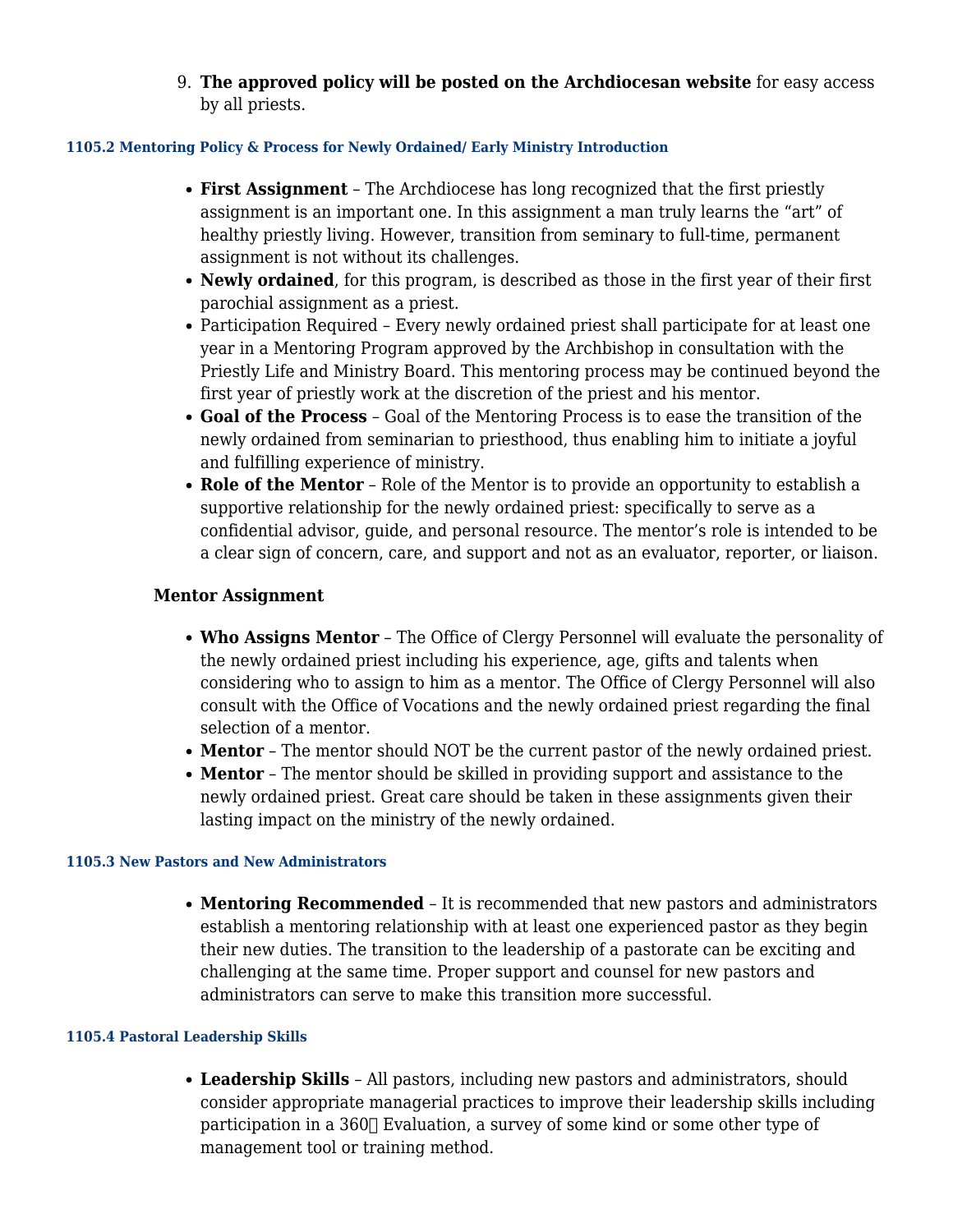9. **The approved policy will be posted on the Archdiocesan website** for easy access by all priests.

#### **1105.2 Mentoring Policy & Process for Newly Ordained/ Early Ministry Introduction**

- **First Assignment** The Archdiocese has long recognized that the first priestly assignment is an important one. In this assignment a man truly learns the "art" of healthy priestly living. However, transition from seminary to full-time, permanent assignment is not without its challenges.
- **Newly ordained**, for this program, is described as those in the first year of their first parochial assignment as a priest.
- Participation Required Every newly ordained priest shall participate for at least one year in a Mentoring Program approved by the Archbishop in consultation with the Priestly Life and Ministry Board. This mentoring process may be continued beyond the first year of priestly work at the discretion of the priest and his mentor.
- **Goal of the Process** Goal of the Mentoring Process is to ease the transition of the newly ordained from seminarian to priesthood, thus enabling him to initiate a joyful and fulfilling experience of ministry.
- **Role of the Mentor** Role of the Mentor is to provide an opportunity to establish a supportive relationship for the newly ordained priest: specifically to serve as a confidential advisor, guide, and personal resource. The mentor's role is intended to be a clear sign of concern, care, and support and not as an evaluator, reporter, or liaison.

## **Mentor Assignment**

- **Who Assigns Mentor** The Office of Clergy Personnel will evaluate the personality of the newly ordained priest including his experience, age, gifts and talents when considering who to assign to him as a mentor. The Office of Clergy Personnel will also consult with the Office of Vocations and the newly ordained priest regarding the final selection of a mentor.
- **Mentor** The mentor should NOT be the current pastor of the newly ordained priest.
- **Mentor** The mentor should be skilled in providing support and assistance to the newly ordained priest. Great care should be taken in these assignments given their lasting impact on the ministry of the newly ordained.

#### **1105.3 New Pastors and New Administrators**

**Mentoring Recommended** – It is recommended that new pastors and administrators establish a mentoring relationship with at least one experienced pastor as they begin their new duties. The transition to the leadership of a pastorate can be exciting and challenging at the same time. Proper support and counsel for new pastors and administrators can serve to make this transition more successful.

#### **1105.4 Pastoral Leadership Skills**

**Leadership Skills** – All pastors, including new pastors and administrators, should consider appropriate managerial practices to improve their leadership skills including participation in a  $360\text{ T}$  Evaluation, a survey of some kind or some other type of management tool or training method.